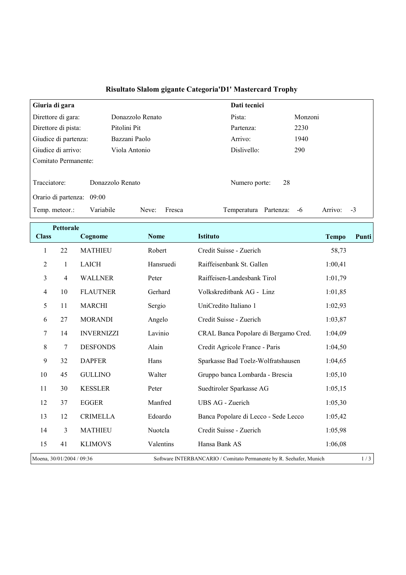| Giuria di gara            |                    |                       | Dati tecnici |                     |  |  |
|---------------------------|--------------------|-----------------------|--------------|---------------------|--|--|
| Direttore di gara:        | Donazzolo Renato   | Pista:                |              | Monzoni             |  |  |
| Direttore di pista:       | Pitolini Pit       | Partenza:             |              | 2230                |  |  |
| Giudice di partenza:      | Bazzani Paolo      | Arrivo:               |              | 1940                |  |  |
| Giudice di arrivo:        | Viola Antonio      | Dislivello:           |              | 290                 |  |  |
| Comitato Permanente:      |                    |                       |              |                     |  |  |
|                           |                    |                       |              |                     |  |  |
| Tracciatore:              | Donazzolo Renato   | Numero porte:         | 28           |                     |  |  |
| Orario di partenza: 09:00 |                    |                       |              |                     |  |  |
| Temp. meteor.:            | Variabile<br>Neve: | Fresca<br>Temperatura | Partenza:    | Arrivo:<br>-3<br>-6 |  |  |

## Risultato Slalom gigante Categoria'D1' Mastercard Trophy

|                           | <b>Pettorale</b> |                   |             |                                                                     |              |       |
|---------------------------|------------------|-------------------|-------------|---------------------------------------------------------------------|--------------|-------|
| <b>Class</b>              |                  | Cognome           | <b>Nome</b> | <b>Istituto</b>                                                     | <b>Tempo</b> | Punti |
| 1                         | 22               | <b>MATHIEU</b>    | Robert      | Credit Suisse - Zuerich                                             | 58,73        |       |
| $\overline{2}$            | 1                | <b>LAICH</b>      | Hansruedi   | Raiffeisenbank St. Gallen                                           | 1:00,41      |       |
| 3                         | 4                | <b>WALLNER</b>    | Peter       | Raiffeisen-Landesbank Tirol                                         | 1:01,79      |       |
| $\overline{4}$            | 10               | <b>FLAUTNER</b>   | Gerhard     | Volkskreditbank AG - Linz                                           | 1:01,85      |       |
| 5                         | 11               | <b>MARCHI</b>     | Sergio      | UniCredito Italiano 1                                               | 1:02,93      |       |
| 6                         | 27               | <b>MORANDI</b>    | Angelo      | Credit Suisse - Zuerich                                             | 1:03,87      |       |
| 7                         | 14               | <b>INVERNIZZI</b> | Lavinio     | CRAL Banca Popolare di Bergamo Cred.                                | 1:04,09      |       |
| 8                         | $\tau$           | <b>DESFONDS</b>   | Alain       | Credit Agricole France - Paris                                      | 1:04,50      |       |
| 9                         | 32               | <b>DAPFER</b>     | Hans        | Sparkasse Bad Toelz-Wolfratshausen                                  | 1:04,65      |       |
| 10                        | 45               | <b>GULLINO</b>    | Walter      | Gruppo banca Lombarda - Brescia                                     | 1:05,10      |       |
| 11                        | 30               | <b>KESSLER</b>    | Peter       | Suedtiroler Sparkasse AG                                            | 1:05,15      |       |
| 12                        | 37               | <b>EGGER</b>      | Manfred     | UBS AG - Zuerich                                                    | 1:05,30      |       |
| 13                        | 12               | <b>CRIMELLA</b>   | Edoardo     | Banca Popolare di Lecco - Sede Lecco                                | 1:05,42      |       |
| 14                        | 3                | <b>MATHIEU</b>    | Nuotcla     | Credit Suisse - Zuerich                                             | 1:05,98      |       |
| 15                        | 41               | <b>KLIMOVS</b>    | Valentins   | Hansa Bank AS                                                       | 1:06,08      |       |
| Moena, 30/01/2004 / 09:36 |                  |                   |             | Software INTERBANCARIO / Comitato Permanente by R. Seehafer, Munich |              | 1/3   |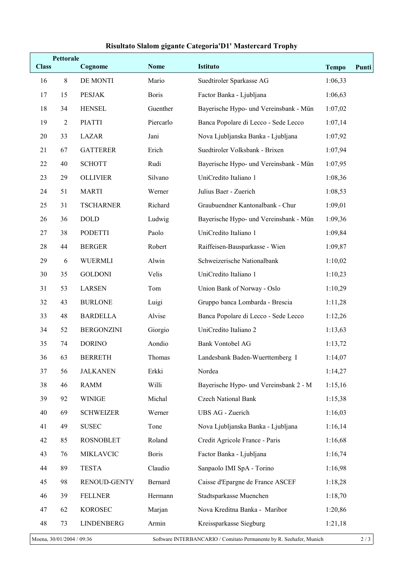## Risultato Slalom gigante Categoria'D1' Mastercard Trophy

| <b>Class</b>                                                                                     | <b>Pettorale</b> | Cognome           | <b>Nome</b>  | <b>Istituto</b>                        | <b>Tempo</b> | Punti |
|--------------------------------------------------------------------------------------------------|------------------|-------------------|--------------|----------------------------------------|--------------|-------|
| 16                                                                                               | $\,8\,$          | DE MONTI          | Mario        | Suedtiroler Sparkasse AG               | 1:06,33      |       |
| 17                                                                                               | 15               | <b>PESJAK</b>     | <b>Boris</b> | Factor Banka - Ljubljana               | 1:06,63      |       |
| 18                                                                                               | 34               | <b>HENSEL</b>     | Guenther     | Bayerische Hypo- und Vereinsbank - Mün | 1:07,02      |       |
| 19                                                                                               | $\sqrt{2}$       | <b>PIATTI</b>     | Piercarlo    | Banca Popolare di Lecco - Sede Lecco   | 1:07,14      |       |
| 20                                                                                               | 33               | LAZAR             | Jani         | Nova Ljubljanska Banka - Ljubljana     | 1:07,92      |       |
| 21                                                                                               | 67               | <b>GATTERER</b>   | Erich        | Suedtiroler Volksbank - Brixen         | 1:07,94      |       |
| 22                                                                                               | 40               | <b>SCHOTT</b>     | Rudi         | Bayerische Hypo- und Vereinsbank - Mün | 1:07,95      |       |
| 23                                                                                               | 29               | <b>OLLIVIER</b>   | Silvano      | UniCredito Italiano 1                  | 1:08,36      |       |
| 24                                                                                               | 51               | <b>MARTI</b>      | Werner       | Julius Baer - Zuerich                  | 1:08,53      |       |
| 25                                                                                               | 31               | <b>TSCHARNER</b>  | Richard      | Graubuendner Kantonalbank - Chur       | 1:09,01      |       |
| 26                                                                                               | 36               | <b>DOLD</b>       | Ludwig       | Bayerische Hypo- und Vereinsbank - Mün | 1:09,36      |       |
| 27                                                                                               | 38               | <b>PODETTI</b>    | Paolo        | UniCredito Italiano 1                  | 1:09,84      |       |
| 28                                                                                               | 44               | <b>BERGER</b>     | Robert       | Raiffeisen-Bausparkasse - Wien         | 1:09,87      |       |
| 29                                                                                               | 6                | <b>WUERMLI</b>    | Alwin        | Schweizerische Nationalbank            | 1:10,02      |       |
| 30                                                                                               | 35               | <b>GOLDONI</b>    | Velis        | UniCredito Italiano 1                  | 1:10,23      |       |
| 31                                                                                               | 53               | <b>LARSEN</b>     | Tom          | Union Bank of Norway - Oslo            | 1:10,29      |       |
| 32                                                                                               | 43               | <b>BURLONE</b>    | Luigi        | Gruppo banca Lombarda - Brescia        | 1:11,28      |       |
| 33                                                                                               | 48               | <b>BARDELLA</b>   | Alvise       | Banca Popolare di Lecco - Sede Lecco   | 1:12,26      |       |
| 34                                                                                               | 52               | <b>BERGONZINI</b> | Giorgio      | UniCredito Italiano 2                  | 1:13,63      |       |
| 35                                                                                               | 74               | <b>DORINO</b>     | Aondio       | <b>Bank Vontobel AG</b>                | 1:13,72      |       |
| 36                                                                                               | 63               | <b>BERRETH</b>    | Thomas       | Landesbank Baden-Wuerttemberg I        | 1:14,07      |       |
| 37                                                                                               | 56               | <b>JALKANEN</b>   | Erkki        | Nordea                                 | 1:14,27      |       |
| 38                                                                                               | 46               | <b>RAMM</b>       | Willi        | Bayerische Hypo- und Vereinsbank 2 - M | 1:15,16      |       |
| 39                                                                                               | 92               | <b>WINIGE</b>     | Michal       | <b>Czech National Bank</b>             | 1:15,38      |       |
| 40                                                                                               | 69               | <b>SCHWEIZER</b>  | Werner       | UBS AG - Zuerich                       | 1:16,03      |       |
| 41                                                                                               | 49               | <b>SUSEC</b>      | Tone         | Nova Ljubljanska Banka - Ljubljana     | 1:16,14      |       |
| 42                                                                                               | 85               | <b>ROSNOBLET</b>  | Roland       | Credit Agricole France - Paris         | 1:16,68      |       |
| 43                                                                                               | 76               | <b>MIKLAVCIC</b>  | <b>Boris</b> | Factor Banka - Ljubljana               | 1:16,74      |       |
| 44                                                                                               | 89               | <b>TESTA</b>      | Claudio      | Sanpaolo IMI SpA - Torino              | 1:16,98      |       |
| 45                                                                                               | 98               | RENOUD-GENTY      | Bernard      | Caisse d'Epargne de France ASCEF       | 1:18,28      |       |
| 46                                                                                               | 39               | <b>FELLNER</b>    | Hermann      | Stadtsparkasse Muenchen                | 1:18,70      |       |
| 47                                                                                               | 62               | <b>KOROSEC</b>    | Marjan       | Nova Kreditna Banka - Maribor          | 1:20,86      |       |
| 48                                                                                               | 73               | <b>LINDENBERG</b> | Armin        | Kreissparkasse Siegburg                | 1:21,18      |       |
| Moena, 30/01/2004 / 09:36<br>Software INTERBANCARIO / Comitato Permanente by R. Seehafer, Munich |                  |                   |              |                                        | $2/3$        |       |